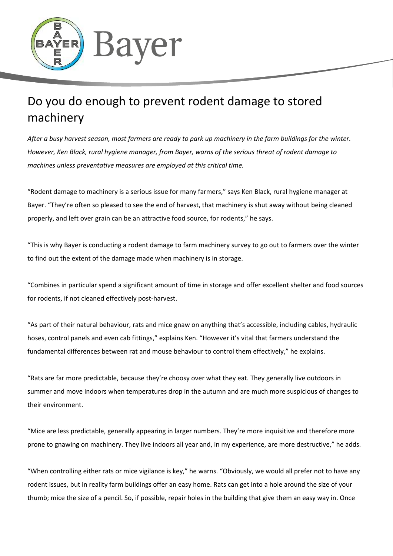

## Do you do enough to prevent rodent damage to stored machinery

*After a busy harvest season, most farmers are ready to park up machinery in the farm buildings for the winter. However, Ken Black, rural hygiene manager, from Bayer, warns of the serious threat of rodent damage to machines unless preventative measures are employed at this critical time.* 

"Rodent damage to machinery is a serious issue for many farmers," says Ken Black, rural hygiene manager at Bayer. "They're often so pleased to see the end of harvest, that machinery is shut away without being cleaned properly, and left over grain can be an attractive food source, for rodents," he says.

"This is why Bayer is conducting a rodent damage to farm machinery survey to go out to farmers over the winter to find out the extent of the damage made when machinery is in storage.

"Combines in particular spend a significant amount of time in storage and offer excellent shelter and food sources for rodents, if not cleaned effectively post-harvest.

"As part of their natural behaviour, rats and mice gnaw on anything that's accessible, including cables, hydraulic hoses, control panels and even cab fittings," explains Ken. "However it's vital that farmers understand the fundamental differences between rat and mouse behaviour to control them effectively," he explains.

"Rats are far more predictable, because they're choosy over what they eat. They generally live outdoors in summer and move indoors when temperatures drop in the autumn and are much more suspicious of changes to their environment.

"Mice are less predictable, generally appearing in larger numbers. They're more inquisitive and therefore more prone to gnawing on machinery. They live indoors all year and, in my experience, are more destructive," he adds.

"When controlling either rats or mice vigilance is key," he warns. "Obviously, we would all prefer not to have any rodent issues, but in reality farm buildings offer an easy home. Rats can get into a hole around the size of your thumb; mice the size of a pencil. So, if possible, repair holes in the building that give them an easy way in. Once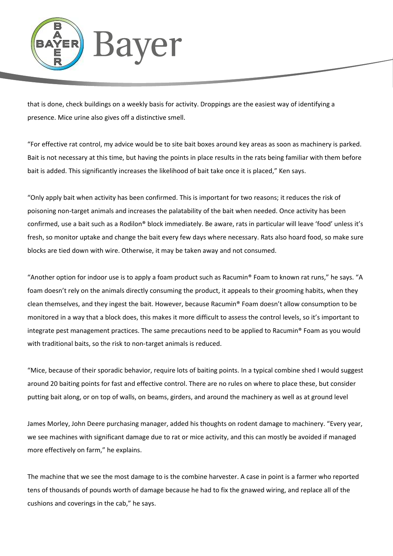

that is done, check buildings on a weekly basis for activity. Droppings are the easiest way of identifying a presence. Mice urine also gives off a distinctive smell.

"For effective rat control, my advice would be to site bait boxes around key areas as soon as machinery is parked. Bait is not necessary at this time, but having the points in place results in the rats being familiar with them before bait is added. This significantly increases the likelihood of bait take once it is placed," Ken says.

"Only apply bait when activity has been confirmed. This is important for two reasons; it reduces the risk of poisoning non-target animals and increases the palatability of the bait when needed. Once activity has been confirmed, use a bait such as a Rodilon® block immediately. Be aware, rats in particular will leave 'food' unless it's fresh, so monitor uptake and change the bait every few days where necessary. Rats also hoard food, so make sure blocks are tied down with wire. Otherwise, it may be taken away and not consumed.

"Another option for indoor use is to apply a foam product such as Racumin® Foam to known rat runs," he says. "A foam doesn't rely on the animals directly consuming the product, it appeals to their grooming habits, when they clean themselves, and they ingest the bait. However, because Racumin® Foam doesn't allow consumption to be monitored in a way that a block does, this makes it more difficult to assess the control levels, so it's important to integrate pest management practices. The same precautions need to be applied to Racumin® Foam as you would with traditional baits, so the risk to non-target animals is reduced.

"Mice, because of their sporadic behavior, require lots of baiting points. In a typical combine shed I would suggest around 20 baiting points for fast and effective control. There are no rules on where to place these, but consider putting bait along, or on top of walls, on beams, girders, and around the machinery as well as at ground level

James Morley, John Deere purchasing manager, added his thoughts on rodent damage to machinery. "Every year, we see machines with significant damage due to rat or mice activity, and this can mostly be avoided if managed more effectively on farm," he explains.

The machine that we see the most damage to is the combine harvester. A case in point is a farmer who reported tens of thousands of pounds worth of damage because he had to fix the gnawed wiring, and replace all of the cushions and coverings in the cab," he says.